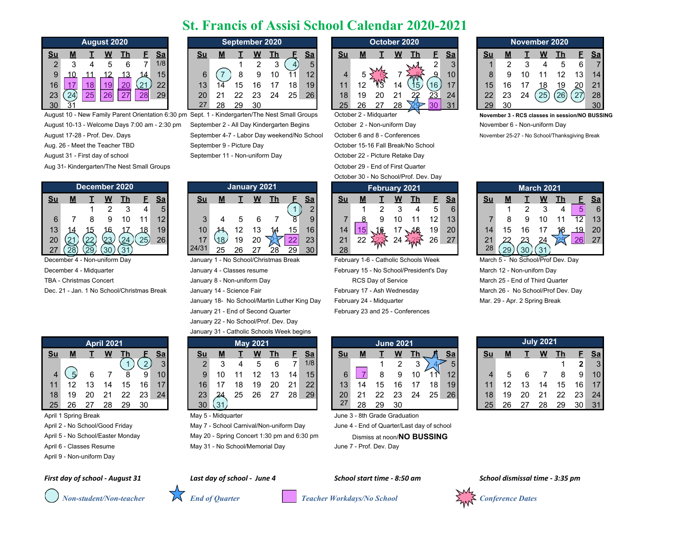## **St. Francis of Assisi School Calendar 2020-2021**

|                |   | <b>August 2020</b> |   |    |   |     |
|----------------|---|--------------------|---|----|---|-----|
| <u>Su</u>      |   |                    |   | Τh | F | Sa  |
| $\overline{2}$ | 3 | 4                  | 5 | 6  |   | 1/8 |
| 9              |   |                    |   |    |   | 15  |
| 16             |   | 18                 |   |    |   | 22  |
| 23             |   | 25                 |   |    |   |     |
|                |   |                    |   |    |   |     |

August 10 - New Family Parent Orientation 6:30 pm Sept. 1 - Kindergarten/The Nest Small Groups October 2 - Midquarter **November 3 - RCS classes in session/NO BUSSING** 

- 
- 
- 

Aug 31- Kindergarten/The Nest Small Groups **Carefor Community** Construction of First Quarter 29 - End of First Quarter

|    |    |    |                 | December 2020 |     |                 |      |    | <b>January 2021</b> |    |    |                     |          |           |     |  |    | February 2021 |                 |           |               |    | March 2 |          |
|----|----|----|-----------------|---------------|-----|-----------------|------|----|---------------------|----|----|---------------------|----------|-----------|-----|--|----|---------------|-----------------|-----------|---------------|----|---------|----------|
| Su | М  |    |                 |               |     | <u>Sa</u>       | Su   | М  |                     | W  |    |                     | Sa       | <u>Su</u> |     |  | W  |               |                 | <u>Sa</u> | Sυ            |    |         | W        |
|    |    |    |                 |               |     |                 |      |    |                     |    |    |                     | $\sim$   |           |     |  |    |               | 5               |           |               |    |         | ີ        |
|    |    |    |                 |               |     | 12              |      |    |                     |    |    |                     | $\Omega$ |           |     |  |    |               | 12              | 13        |               |    |         | 10       |
| 13 |    |    |                 |               | 18  | 19 <sub>1</sub> | 10   |    |                     |    |    | 15                  | 16       | 14        |     |  |    | $\mathcal{A}$ | 19 <sub>1</sub> | 20        |               |    |         |          |
| 20 |    |    | $\mathcal{Z}^3$ | $\cancel{24}$ | 25) | 26              |      | 18 | 19                  | 20 |    | $\sim$<br><u>__</u> | 23       | 21        | ົດດ |  | 24 | MAN           | 26              | 27        | ິ<br><u>_</u> | ∩∩ |         | 24       |
| ־י | 28 | 20 | ാറ              |               |     |                 | 24/3 | 25 | 26                  | 27 | 28 | 29                  | 30       | 28        |     |  |    |               |                 |           | 28            |    |         | $\Omega$ |

December 4 - Midquarter **Multiple 12 - Midquarter** January 4 - Classes resume February 15 - No School/President's Day March 12 - Non-uniforn Day TBA - Christmas Concert Christmas Concert January 8 - Non-uniform Day RCS Day of Service March 25 - End of Third Quarter

|    |    |    | <b>April 2021</b> |    |    |    |
|----|----|----|-------------------|----|----|----|
| Su |    |    |                   |    |    | Sa |
|    |    |    |                   |    |    |    |
| 4  |    | 6  |                   | 8  |    |    |
| 11 | 12 | 13 | 14                | 15 | 16 |    |
| 18 | 19 | 20 | 21                | 22 | 23 |    |
| 25 | 26 |    | 28                | 29 | 30 |    |

- April 2 No School/Good Friday May 7 School Carnival/Non-uniform Day June 4 End of Quarter/Last day of school
- 

April 6 - Classes Resume **May 31 - No School/Memorial Day** June 7 - Prof. Dev. Day

April 9 - Non-uniform Day

*First day of school - August 31 Last day of school - June 4 School start time - 8:50 am School dismissal time - 3:35 pm*



|                 |      |    | August 2020 |    |    |                 |                 |    | September 2020 |    |            |    |           |                 |    | October 2020  |    |    |           |           |    |     |    |    | November 2020 |                 |           |
|-----------------|------|----|-------------|----|----|-----------------|-----------------|----|----------------|----|------------|----|-----------|-----------------|----|---------------|----|----|-----------|-----------|----|-----|----|----|---------------|-----------------|-----------|
| Su              | M    |    |             | Гh |    | <u>Sa</u>       | <u>Su</u>       |    |                |    | <u>ı n</u> |    | <u>Sa</u> | <u>Su</u>       | M  |               | W  |    |           | <u>Sa</u> | Su |     |    | w  |               |                 | <b>Sa</b> |
|                 |      |    |             |    |    | 1/8             |                 |    |                |    |            |    |           |                 |    | $\mathcal{N}$ |    |    | <u>.</u>  |           |    |     |    |    |               |                 |           |
|                 |      |    |             |    | 14 | 15 <sup>°</sup> |                 |    |                |    |            |    | 1つ        |                 |    |               |    |    | ഛ         |           |    |     |    |    |               |                 | 14        |
| 16 <sup>1</sup> |      |    | ₩.          | 20 |    | 22              | 13 <sup>1</sup> |    |                |    |            | 18 | 19        | 11              |    |               |    |    | 16        |           |    |     |    |    | 19            | 20 <sub>1</sub> | 21        |
| 23 <sub>1</sub> | (24) | 25 | 26          | 27 | 28 | 29              | 20 <sup>1</sup> |    | າາ             | 23 | 24         | 25 | 26        | 18 <sup>°</sup> | 19 |               |    | 22 | <u>23</u> | 24        | 22 | 23  | 24 | 25 | (26)          |                 | 28        |
| 20              |      |    |             |    |    |                 | 27              | ററ | ററ             | ാറ |            |    |           | っに              | റമ | דר            | ററ |    |           | 24        | ററ | ົາດ |    |    |               |                 | $\Omega$  |

January 22 - No School/Prof. Dev. Day January 31 - Catholic Schools Week begins

|                |    | August 2020 |    |    |    |     |                 |                          |     |    | September 2020 |    |           |           |    | October 2020  |    |    |    |           |           |            |    | November 2020 |      |    |           |
|----------------|----|-------------|----|----|----|-----|-----------------|--------------------------|-----|----|----------------|----|-----------|-----------|----|---------------|----|----|----|-----------|-----------|------------|----|---------------|------|----|-----------|
|                | M  |             |    |    |    | Sa  | <u>Su</u>       |                          |     |    |                |    | <u>Sa</u> | <u>Su</u> | М  |               | W  |    |    | <u>Sa</u> | <b>Su</b> | <u>IVI</u> |    | w             |      |    | <b>Sa</b> |
| $\overline{2}$ |    |             |    |    |    | 1/8 |                 |                          |     |    |                | 4. | 5         |           |    | $\mathcal{M}$ |    |    | ົ  |           |           |            |    |               |      | 6  |           |
| 9              |    |             |    |    |    | 15  |                 |                          |     |    |                | и  | 12        |           |    |               |    |    | O. | 10        |           |            |    |               |      |    | 14        |
| 16             |    |             |    | 20 | 21 | 22  | 13 <sub>°</sub> | $\overline{\phantom{a}}$ |     |    |                | 18 | 19        |           |    |               | 14 |    | 16 | 17        | 15        |            |    |               | 19   | 20 | 21        |
| 23             | 24 | 25          | 26 |    | 28 | 29  | 20              |                          | OC. | 23 | 24             | 25 | 26        | 18.       | 19 | 20            |    | 22 | 23 | 24        | 22        | ററ         | 24 | 25            | (26) |    | 28        |
| 30             |    |             |    |    |    |     | 27              | 28                       | 29  | 30 |                |    |           |           | 26 |               | റാ |    |    | 21        | 29        | 30         |    |               |      |    | 30        |

August 10-13 - Welcome Days 7:00 am - 2:30 pm September 2 - All Day Kindergarten Begins October 2 - Non-uniform Day November 6 - Non-uniform Day Aug. 26 - Meet the Teacher TBD September 9 - Picture Day Cotober 15-16 Fall Break/No School August 31 - First day of school September 11 - Non-uniform Day October 22 - Picture Retake Day

October 30 - No School/Prof. Dev. Day

|                 |   |                  |                | December 2020 |     |           |           |    | January 2021 |      |    |    |           |    |                | February 2021 |    |                             |    |           |    |    |            | March 2021 |     |    |           |
|-----------------|---|------------------|----------------|---------------|-----|-----------|-----------|----|--------------|------|----|----|-----------|----|----------------|---------------|----|-----------------------------|----|-----------|----|----|------------|------------|-----|----|-----------|
| Su              | M |                  |                |               |     | <u>Sa</u> | <u>Su</u> |    |              | W    |    |    | <u>Sa</u> | Su | М              |               | W  |                             |    | <u>Sa</u> | Su |    |            | w          |     |    | <u>Sa</u> |
|                 |   |                  |                |               |     |           |           |    |              |      |    |    | $\sim$    |    |                |               |    |                             |    |           |    |    |            |            |     |    | 6         |
|                 |   |                  |                |               |     |           |           |    |              |      |    |    | 9         |    |                |               |    |                             | 12 |           |    |    |            |            |     |    | 13        |
| 13 <sup>1</sup> |   |                  |                |               | 18  | 19        | 10        |    |              |      |    | 15 | 16        | 14 |                |               |    | $\mathcal{A}^{\mathcal{B}}$ | 19 | 20        |    |    |            |            | ١،Ω | 19 | 20        |
| 20              |   |                  | $\Omega$<br>یے | $\leqslant$   | 25) | 26        |           | 18 | 19           | 20   |    |    | 231       | 21 | ົ<br><u>__</u> | И٨            | 24 |                             | 26 | 27        | 21 |    | ົ          | 24         |     | 26 | 27        |
| 27              |   | $\widetilde{29}$ | $\sim$         | $\Omega$      |     |           | 24/3'     | クら | 26           | - 27 | 28 | 29 | 301       | 28 |                |               |    |                             |    |           | 28 | 29 | 30) $(31)$ |            |     |    |           |

December 4 - Non-uniform Day January 1 - No School/Christmas Break February 1-6 - Catholic Schools Week March 5 - No School/Prof Dev. Day Dec. 21 - Jan. 1 No School/Christmas Break January 14 - Science Fair February 17 - Ash Wednesday March 26 - No School/Prof Dev. Day January 18- No School/Martin Luther King Day February 24 - Midguarter Theory Mar. 29 - Apr. 2 Spring Break January 21 - End of Second Quarter February 23 and 25 - Conferences

|    | April 2021 |    |    |                 |           |    |    | <b>May 2021</b> |    |                 |           |                 |    |    | <b>June 2021</b> |    |    |                 |    |    |    | <b>July 2021</b> |  |
|----|------------|----|----|-----------------|-----------|----|----|-----------------|----|-----------------|-----------|-----------------|----|----|------------------|----|----|-----------------|----|----|----|------------------|--|
| T. | W          |    |    | Sa              | <b>Su</b> | M  |    |                 |    |                 | <u>Sa</u> | <u>Su</u>       | M  |    | W                |    |    | <u>Sa</u>       | Su | M  |    | W                |  |
|    |            |    |    | 3               | ◠         |    |    |                 |    |                 | 1/8       |                 |    |    |                  | ົ  |    | 5               |    |    |    |                  |  |
| 6  |            | 8  | 9  | 10 <sup>1</sup> |           |    |    |                 | 13 | 14 <sub>1</sub> | 15        |                 |    | 8  | a                | 10 |    | 12              |    |    |    |                  |  |
| 13 | 14         | 15 | 16 |                 | 16        |    |    | 19              | 20 | 21              | 22        | 13 <sup>°</sup> | 14 | 15 |                  |    | 18 | 19 <sup>°</sup> |    | ィっ | 13 | 14               |  |
| 20 | 21         | 22 | 23 | 24              | 23        |    | 25 | 26              | 27 | 28 <sub>1</sub> | 29        | 20              | 21 | つつ | 23               | 24 | 25 | <b>26</b>       | 18 | 19 | 20 | 21               |  |
| 27 | 28         | 29 | 30 |                 | 30        | 31 |    |                 |    |                 |           | 27              | 28 | 29 | 30               |    |    |                 | 25 | 26 | 27 | 28               |  |

April 1 Spring Break May 5 - Midquarter May 5 - Midquarter June 3 - 8th Grade Graduation

April 5 - No School/Easter Monday May 20 - Spring Concert 1:30 pm and 6:30 pm Dismiss at noon/**NO BUSSING** 

|    |                |    | November 2020 |      |      |    |
|----|----------------|----|---------------|------|------|----|
| Su | М              |    |               | Τh   | E    | Sa |
|    | $\overline{2}$ | 3  | 4             | 5    | 6    |    |
| 8  | 9              | 10 | 11            | 12   | 13   | 14 |
| 15 | 16             | 17 | 18            | 19   | 20   | 21 |
| 22 | 23             | 24 | 25            | (26) | (27) | 28 |
|    | 30             |    |               |      |      | 30 |

August 17-28 - Prof. Dev. Days September 4-7 - Labor Day weekend/No School October 6 and 8 - Conferences November 25-27 - No School/Thanksgiving Break

|                 |    |    | <b>March 2021</b> |    |    |    |
|-----------------|----|----|-------------------|----|----|----|
| Su              |    |    |                   | Th |    | Sа |
|                 |    | 2  | З                 |    |    |    |
|                 | 8  |    | 10                | 11 | 12 | 13 |
| 14              | 15 | 16 |                   |    | 19 | 20 |
| $\frac{21}{28}$ |    |    |                   |    | 26 | 27 |
|                 |    |    |                   |    |    |    |

|                 |    |    | <b>April 2021</b> |    |                 |                 |     |    |    | <b>May 2021</b> |    |    |     |                 |    |    | <b>June 2021</b> |    |    |    |    |    |    | <b>July 2021</b> |    |                 |           |
|-----------------|----|----|-------------------|----|-----------------|-----------------|-----|----|----|-----------------|----|----|-----|-----------------|----|----|------------------|----|----|----|----|----|----|------------------|----|-----------------|-----------|
| Su              | M  |    |                   |    |                 | Sa              | Su  | M  |    |                 |    |    | Sa  | Su              | M  |    | W                |    |    | Sa | Su | M  |    | W                |    |                 | <b>Sa</b> |
|                 |    |    |                   |    |                 |                 |     |    |    |                 |    |    | 1/8 |                 |    |    |                  |    |    |    |    |    |    |                  |    |                 |           |
|                 |    |    |                   |    | 9               | 10 <sup>°</sup> | 9   | 10 |    |                 |    | 14 | 15  | ົ               |    |    |                  | 10 |    |    |    |    |    |                  |    | 9               | 10        |
| 11              |    |    |                   | 15 | 16              |                 | 16. |    |    | 19              | 20 | 21 | 22  | 13 <sup>1</sup> |    |    |                  |    | 18 | 19 |    |    |    |                  | 15 | 16              | 17        |
| 18              | 19 | 20 |                   | 22 | 23 <sub>1</sub> | 24              | 23  | 24 | 25 | 26              | 27 | 28 | 29  | 20 <sub>1</sub> |    |    | 23               | 24 | 25 | 26 | 18 | 19 | 20 | 21               | 22 | 23              | - 24      |
| 25 <sup>2</sup> | 26 | 27 | 28                | 29 | 30              |                 | 30  |    |    |                 |    |    |     | 27              | 28 | 29 | -30              |    |    |    | 25 | 26 | 27 | 28               | 29 | 30 <sup>1</sup> | 31        |

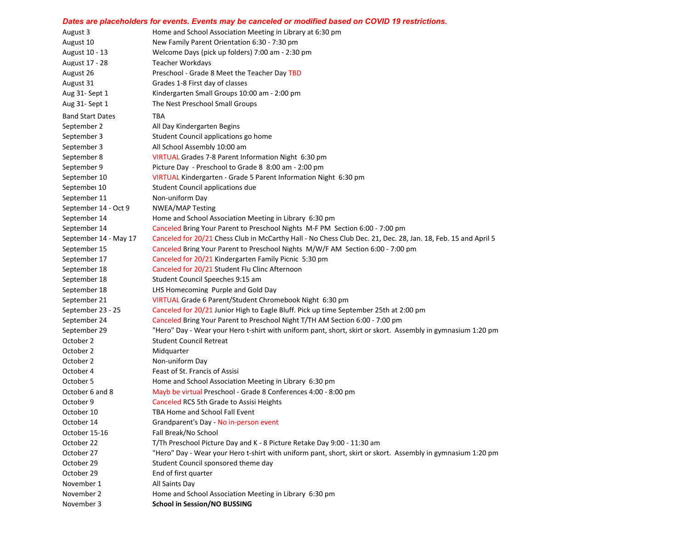## *Dates are placeholders for events. Events may be canceled or modified based on COVID 19 restrictions.*

| August 3                | Home and School Association Meeting in Library at 6:30 pm                                                     |
|-------------------------|---------------------------------------------------------------------------------------------------------------|
| August 10               | New Family Parent Orientation 6:30 - 7:30 pm                                                                  |
| August 10 - 13          | Welcome Days (pick up folders) 7:00 am - 2:30 pm                                                              |
| August 17 - 28          | Teacher Workdays                                                                                              |
| August 26               | Preschool - Grade 8 Meet the Teacher Day TBD                                                                  |
| August 31               | Grades 1-8 First day of classes                                                                               |
| Aug 31-Sept 1           | Kindergarten Small Groups 10:00 am - 2:00 pm                                                                  |
| Aug 31- Sept 1          | The Nest Preschool Small Groups                                                                               |
| <b>Band Start Dates</b> | TBA                                                                                                           |
| September 2             | All Day Kindergarten Begins                                                                                   |
| September 3             | Student Council applications go home                                                                          |
| September 3             | All School Assembly 10:00 am                                                                                  |
| September 8             | VIRTUAL Grades 7-8 Parent Information Night 6:30 pm                                                           |
| September 9             | Picture Day - Preschool to Grade 8 8:00 am - 2:00 pm                                                          |
| September 10            | VIRTUAL Kindergarten - Grade 5 Parent Information Night 6:30 pm                                               |
| September 10            | Student Council applications due                                                                              |
| September 11            | Non-uniform Day                                                                                               |
| September 14 - Oct 9    | <b>NWEA/MAP Testing</b>                                                                                       |
| September 14            | Home and School Association Meeting in Library 6:30 pm                                                        |
| September 14            | Canceled Bring Your Parent to Preschool Nights M-F PM Section 6:00 - 7:00 pm                                  |
| September 14 - May 17   | Canceled for 20/21 Chess Club in McCarthy Hall - No Chess Club Dec. 21, Dec. 28, Jan. 18, Feb. 15 and April 5 |
| September 15            | Canceled Bring Your Parent to Preschool Nights M/W/F AM Section 6:00 - 7:00 pm                                |
| September 17            | Canceled for 20/21 Kindergarten Family Picnic 5:30 pm                                                         |
| September 18            | Canceled for 20/21 Student Flu Clinc Afternoon                                                                |
| September 18            | Student Council Speeches 9:15 am                                                                              |
| September 18            | LHS Homecoming Purple and Gold Day                                                                            |
| September 21            | VIRTUAL Grade 6 Parent/Student Chromebook Night 6:30 pm                                                       |
| September 23 - 25       | Canceled for 20/21 Junior High to Eagle Bluff. Pick up time September 25th at 2:00 pm                         |
| September 24            | Canceled Bring Your Parent to Preschool Night T/TH AM Section 6:00 - 7:00 pm                                  |
| September 29            | "Hero" Day - Wear your Hero t-shirt with uniform pant, short, skirt or skort. Assembly in gymnasium 1:20 pm   |
| October 2               | <b>Student Council Retreat</b>                                                                                |
| October 2               | Midquarter                                                                                                    |
| October 2               | Non-uniform Day                                                                                               |
| October 4               | Feast of St. Francis of Assisi                                                                                |
| October 5               | Home and School Association Meeting in Library 6:30 pm                                                        |
| October 6 and 8         | Mayb be virtual Preschool - Grade 8 Conferences 4:00 - 8:00 pm                                                |
| October 9               | Canceled RCS 5th Grade to Assisi Heights                                                                      |
| October 10              | TBA Home and School Fall Event                                                                                |
| October 14              | Grandparent's Day - No in-person event                                                                        |
| October 15-16           | Fall Break/No School                                                                                          |
| October 22              | T/Th Preschool Picture Day and K - 8 Picture Retake Day 9:00 - 11:30 am                                       |
| October 27              | "Hero" Day - Wear your Hero t-shirt with uniform pant, short, skirt or skort. Assembly in gymnasium 1:20 pm   |
| October 29              | Student Council sponsored theme day                                                                           |
| October 29              | End of first quarter                                                                                          |
| November 1              | All Saints Day                                                                                                |
| November 2              | Home and School Association Meeting in Library 6:30 pm                                                        |
|                         |                                                                                                               |
| November 3              | <b>School in Session/NO BUSSING</b>                                                                           |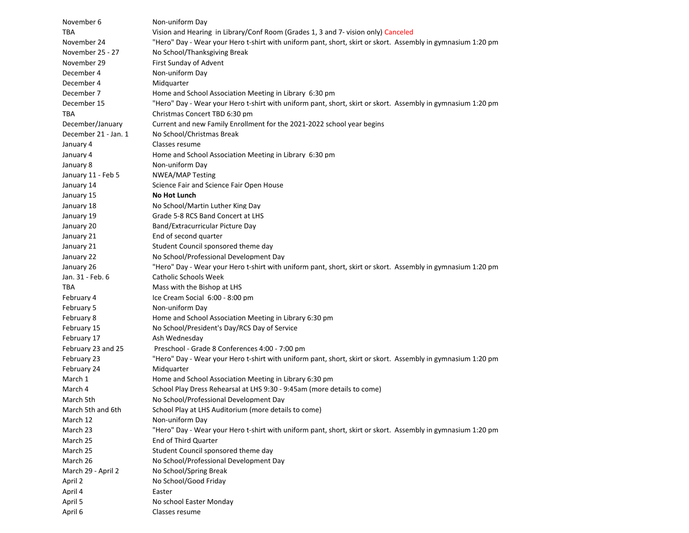| November 6           | Non-uniform Day                                                                                             |
|----------------------|-------------------------------------------------------------------------------------------------------------|
| TBA                  | Vision and Hearing in Library/Conf Room (Grades 1, 3 and 7- vision only) Canceled                           |
| November 24          | "Hero" Day - Wear your Hero t-shirt with uniform pant, short, skirt or skort. Assembly in gymnasium 1:20 pm |
| November 25 - 27     | No School/Thanksgiving Break                                                                                |
| November 29          | First Sunday of Advent                                                                                      |
| December 4           | Non-uniform Day                                                                                             |
| December 4           | Midguarter                                                                                                  |
| December 7           | Home and School Association Meeting in Library 6:30 pm                                                      |
| December 15          | "Hero" Day - Wear your Hero t-shirt with uniform pant, short, skirt or skort. Assembly in gymnasium 1:20 pm |
| TBA                  | Christmas Concert TBD 6:30 pm                                                                               |
| December/January     | Current and new Family Enrollment for the 2021-2022 school year begins                                      |
| December 21 - Jan. 1 | No School/Christmas Break                                                                                   |
| January 4            | Classes resume                                                                                              |
| January 4            | Home and School Association Meeting in Library 6:30 pm                                                      |
| January 8            | Non-uniform Day                                                                                             |
| January 11 - Feb 5   | <b>NWEA/MAP Testing</b>                                                                                     |
| January 14           | Science Fair and Science Fair Open House                                                                    |
| January 15           | <b>No Hot Lunch</b>                                                                                         |
| January 18           | No School/Martin Luther King Day                                                                            |
| January 19           | Grade 5-8 RCS Band Concert at LHS                                                                           |
| January 20           | Band/Extracurricular Picture Day                                                                            |
| January 21           | End of second quarter                                                                                       |
| January 21           | Student Council sponsored theme day                                                                         |
| January 22           | No School/Professional Development Day                                                                      |
| January 26           | "Hero" Day - Wear your Hero t-shirt with uniform pant, short, skirt or skort. Assembly in gymnasium 1:20 pm |
| Jan. 31 - Feb. 6     | <b>Catholic Schools Week</b>                                                                                |
| TBA                  | Mass with the Bishop at LHS                                                                                 |
| February 4           | Ice Cream Social 6:00 - 8:00 pm                                                                             |
| February 5           | Non-uniform Day                                                                                             |
| February 8           | Home and School Association Meeting in Library 6:30 pm                                                      |
| February 15          | No School/President's Day/RCS Day of Service                                                                |
| February 17          | Ash Wednesday                                                                                               |
| February 23 and 25   | Preschool - Grade 8 Conferences 4:00 - 7:00 pm                                                              |
| February 23          | "Hero" Day - Wear your Hero t-shirt with uniform pant, short, skirt or skort. Assembly in gymnasium 1:20 pm |
| February 24          | Midquarter                                                                                                  |
| March 1              | Home and School Association Meeting in Library 6:30 pm                                                      |
| March 4              | School Play Dress Rehearsal at LHS 9:30 - 9:45am (more details to come)                                     |
| March 5th            | No School/Professional Development Day                                                                      |
| March 5th and 6th    | School Play at LHS Auditorium (more details to come)                                                        |
| March 12             | Non-uniform Day                                                                                             |
| March 23             | "Hero" Day - Wear your Hero t-shirt with uniform pant, short, skirt or skort. Assembly in gymnasium 1:20 pm |
| March 25             | <b>End of Third Quarter</b>                                                                                 |
| March 25             | Student Council sponsored theme day                                                                         |
| March 26             | No School/Professional Development Day                                                                      |
| March 29 - April 2   | No School/Spring Break                                                                                      |
| April 2              | No School/Good Friday                                                                                       |
| April 4              | Easter                                                                                                      |
| April 5              | No school Easter Monday                                                                                     |
| April 6              | Classes resume                                                                                              |